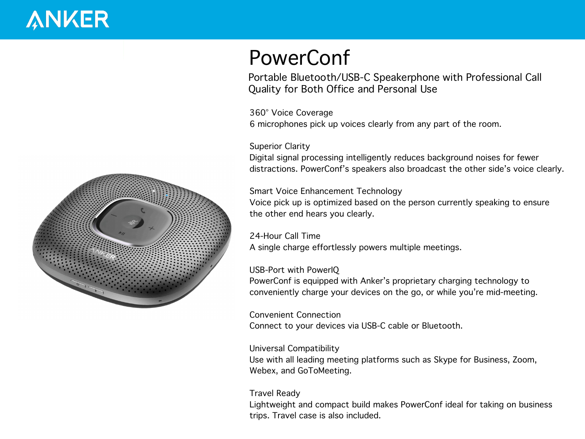# **ANKER**



## **PowerConf**

Portable Bluetooth/USB-C Speakerphone with Professional Call Quality for Both Office and Personal Use

**360° Voice Coverage** 6 microphones pick up voices clearly from any part of the room.

#### **Superior Clarity**

Digital signal processing intelligently reduces background noises for fewer distractions. PowerConf's speakers also broadcast the other side's voice clearly.

#### **Smart Voice Enhancement Technology**

Voice pick up is optimized based on the person currently speaking to ensure the other end hears you clearly.

#### **24-Hour Call Time**

A single charge effortlessly powers multiple meetings.

#### **USB-Port with PowerIQ**

PowerConf is equipped with Anker's proprietary charging technology to conveniently charge your devices on the go, or while you're mid-meeting.

**Convenient Connection** Connect to your devices via USB-C cable or Bluetooth.

#### **Universal Compatibility**

Use with all leading meeting platforms such as Skype for Business, Zoom, Webex, and GoToMeeting.

#### **Travel Ready**

Lightweight and compact build makes PowerConf ideal for taking on business trips. Travel case is also included.